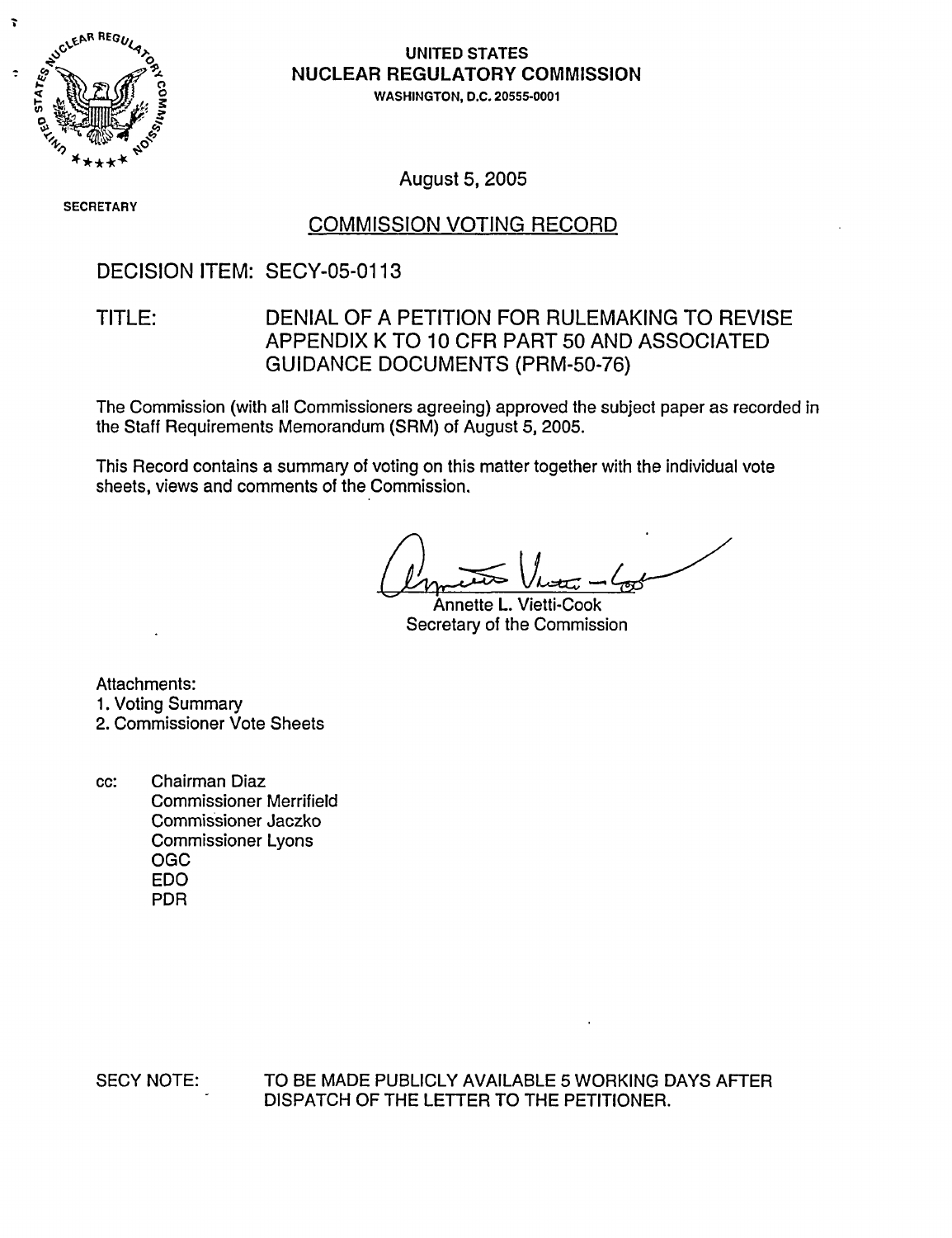

# .0 **iNUCLEAR REGULATORY COMMISSION**

WASHINGTON, D.C. 20555-0001

**SECRETARY** 

August 5, 2005

## COMMISSION VOTING RECORD

## DECISION ITEM: SECY-05-0113

## TITLE: DENIAL OF A PETITION FOR RULEMAKING TO REVISE APPENDIX K TO 10 CFR PART 50 AND ASSOCIATED GUIDANCE DOCUMENTS (PRM-50-76)

The Commission (with all Commissioners agreeing) approved the subject paper as recorded in the Staff Requirements Memorandum (SRM) of August 5, 2005.

This Record contains a summary of voting on this matter together with the individual vote sheets, views and comments of the Commission.

Annette L. Vietti-Cook Secretary of the Commission

Attachments: 1. Voting Summary 2. Commissioner Vote Sheets

cc: Chairman Diaz Commissioner Merrifield Commissioner Jaczko Commissioner Lyons OGC EDO PDR

SECY NOTE: TO BE MADE PUBLICLY AVAILABLE 5 WORKING DAYS AFTER DISPATCH OF THE LETTER TO THE PETITIONER.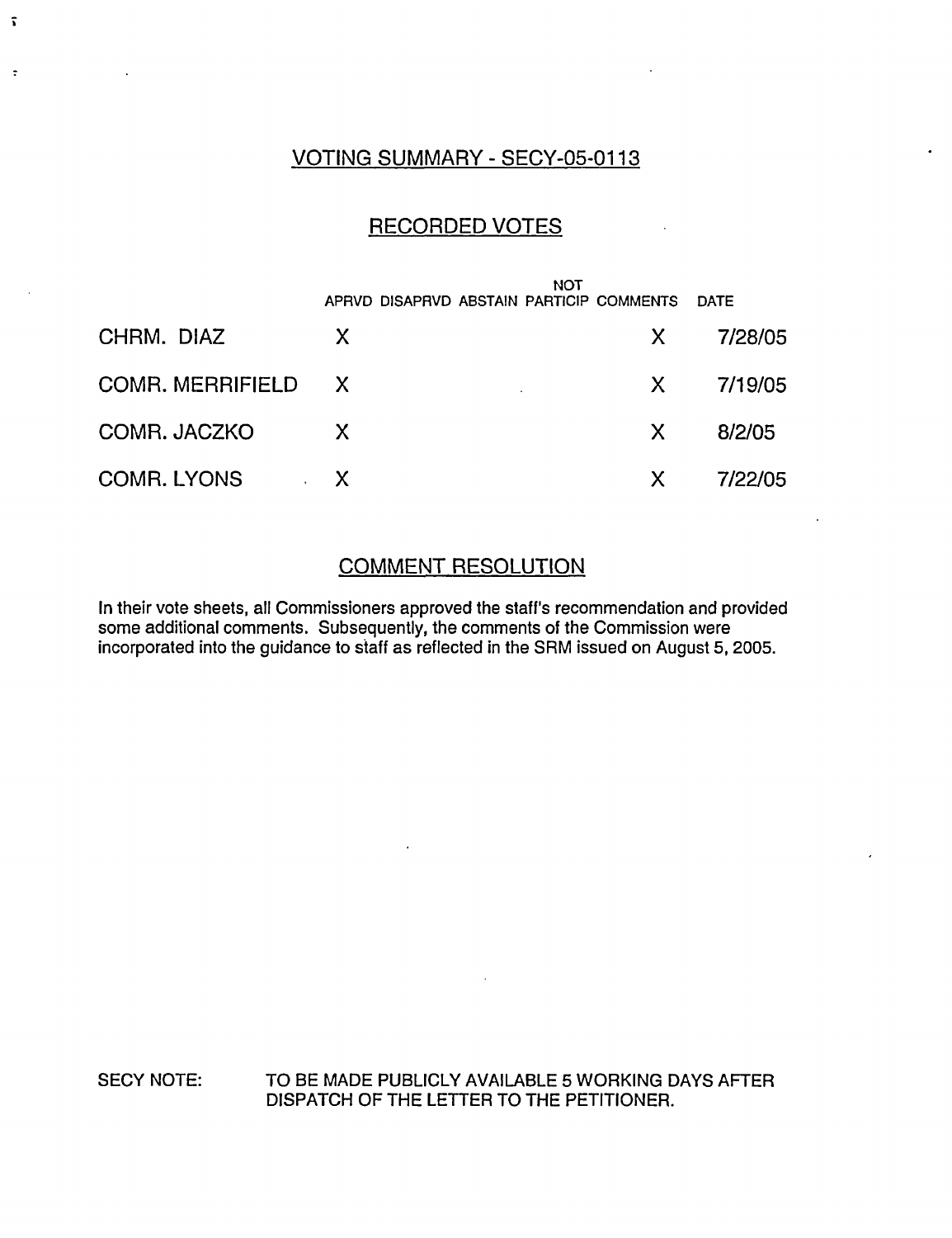## VOTING SUMMARY - SECY-05-0113

 $\tilde{\mathbf{v}}$ 

 $\ddot{\phantom{a}}$ 

## RECORDED VOTES

|                                    |              | <b>NOT</b><br>APRVD DISAPRVD ABSTAIN PARTICIP COMMENTS |              | <b>DATE</b> |
|------------------------------------|--------------|--------------------------------------------------------|--------------|-------------|
| CHRM. DIAZ                         | X            |                                                        | $\mathsf{X}$ | 7/28/05     |
| COMR. MERRIFIELD X                 |              |                                                        | $\mathsf{X}$ | 7/19/05     |
| COMR. JACZKO                       | $\mathsf{X}$ |                                                        | X.           | 8/2/05      |
| <b>COMR. LYONS</b><br>$\mathbf{v}$ | $\mathsf{X}$ |                                                        | $\mathsf{X}$ | 7/22/05     |

# COMMENT RESOLUTION

In their vote sheets, all Commissioners approved the staff's recommendation and provided some additional comments. Subsequently, the comments of the Commission were incorporated into the guidance to staff as reflected in the SRM issued on August 5, 2005.

SECY NOTE: TO BE MADE PUBLICLY AVAILABLE 5 WORKING DAYS AFTER DISPATCH OF THE LETTER TO THE PETITIONER.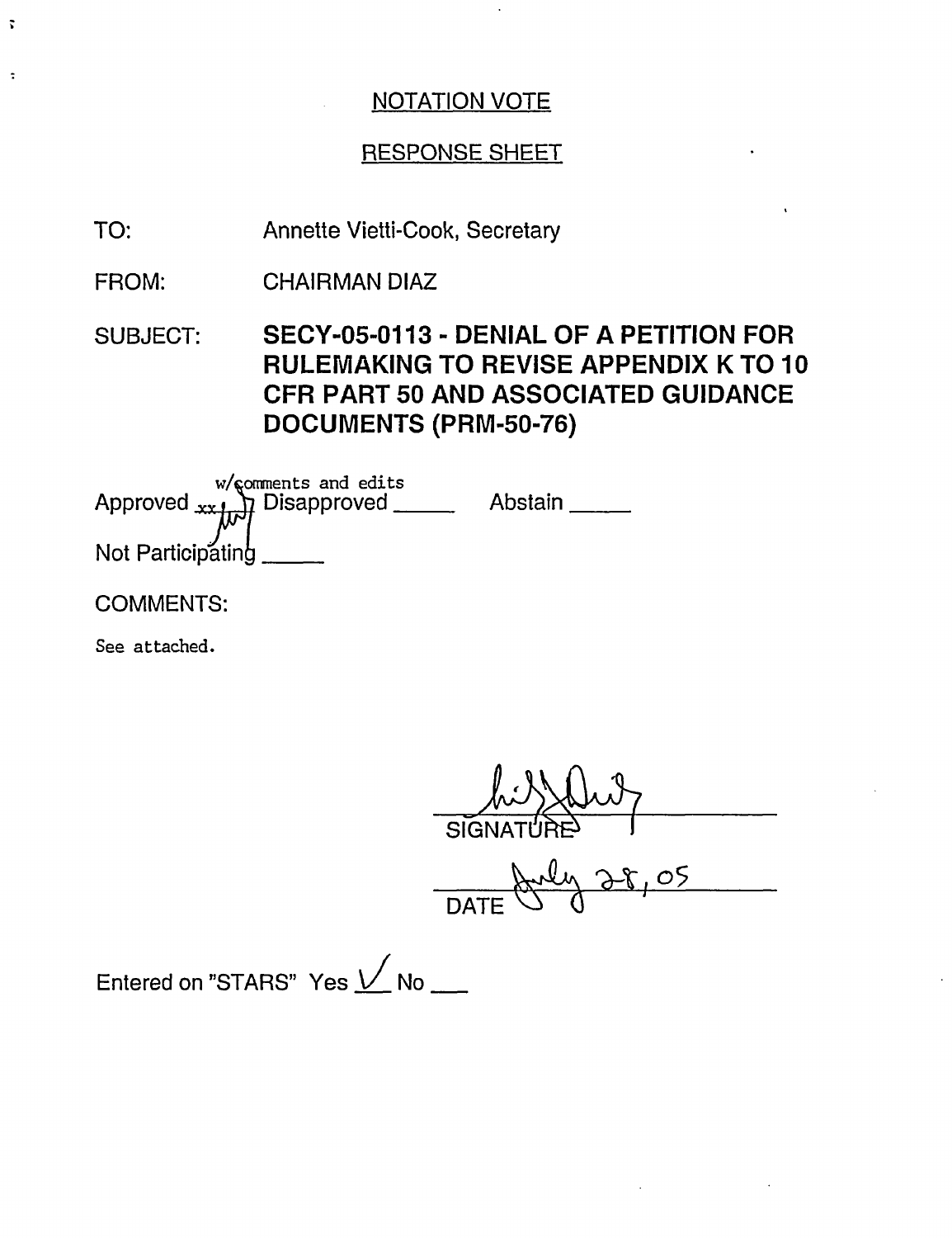## RESPONSE SHEET

Annette Vietti-Cook, Secretary TO:

CHAIRMAN DIAZ FROM:

SUBJECT: SECY-05-0113 - DENIAL OF A PETITION FOR RULEMAKING TO REVISE APPENDIX K TO 10 CFR PART 50 AND ASSOCIATED GUIDANCE DOCUMENTS (PRM-50-76)

w/comments and edits Approved <sub>xx 1</sub>, Disapproved \_\_\_\_\_\_\_\_ Abstain Not Participating

COMMENTS:

 $\ddot{\mathbf{r}}$ 

 $\ddot{\cdot}$ 

See attached.

SIGNATURE

 $But 38,05$ 

Entered on "STARS" Yes  $\sqrt{\ }$  No \_\_\_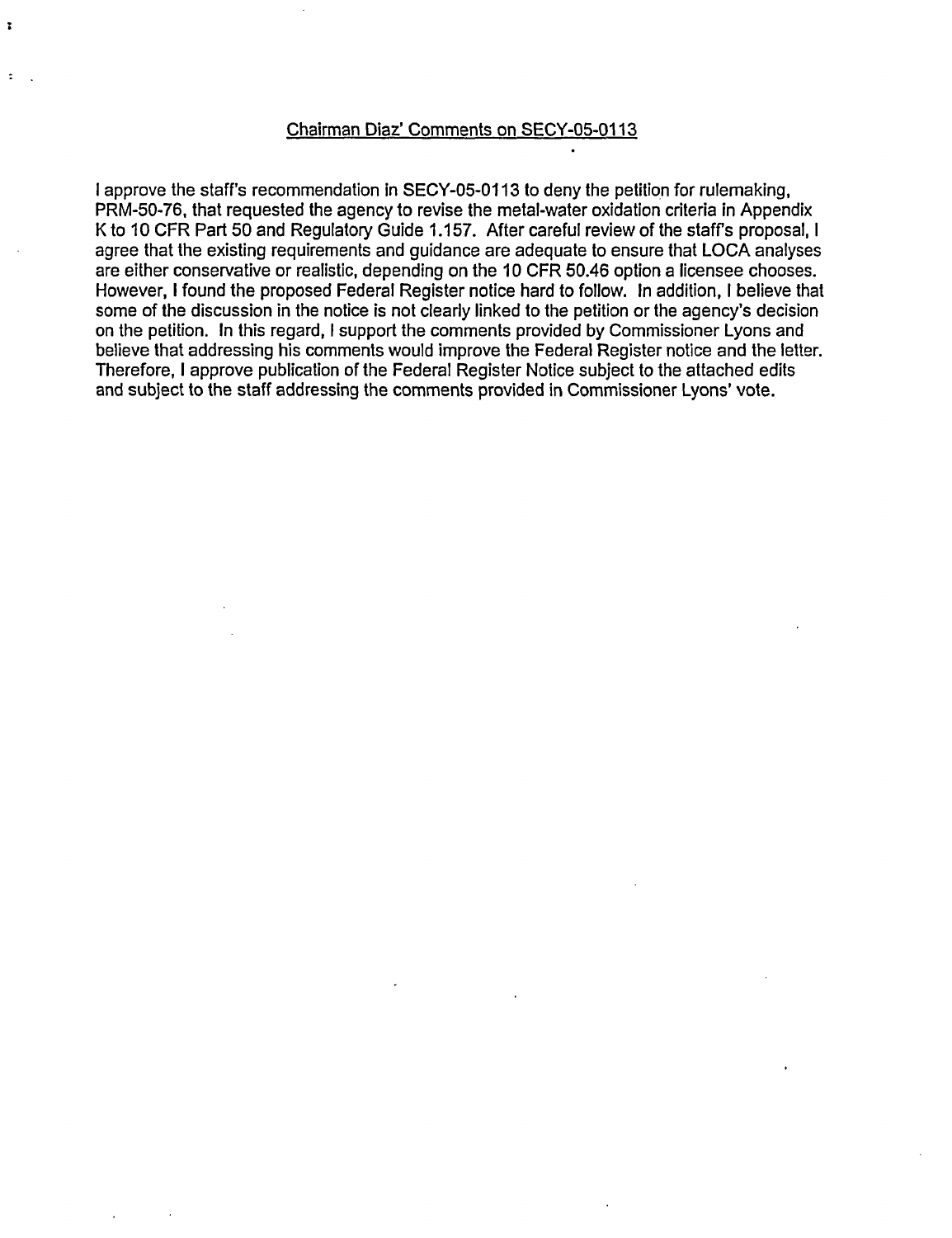#### Chairman Diaz' Comments on SECY-05-0113

 $\ddot{\phantom{a}}$ 

I approve the staff's recommendation in SECY-05-0113 to deny the petition for rulemaking, PRM-50-76, that requested the agency to revise the metal-water oxidation criteria in Appendix K to 10 CFR Part 50 and Regulatory Guide 1.157. After careful review of the staff's proposal, I agree that the existing requirements and guidance are adequate to ensure that LOCA analyses are either conservative or realistic, depending on the 10 CFR 50.46 option a licensee chooses. However, I found the proposed Federal Register notice hard to follow. In addition, I believe that some of the discussion in the notice is not clearly linked to the petition or the agency's decision on the petition. In this regard, I support the comments provided by Commissioner Lyons and believe that addressing his comments would improve the Federal Register notice and the letter. Therefore, I approve publication of the Federal Register Notice subject to the attached edits and subject to the staff addressing the comments provided in Commissioner Lyons' vote.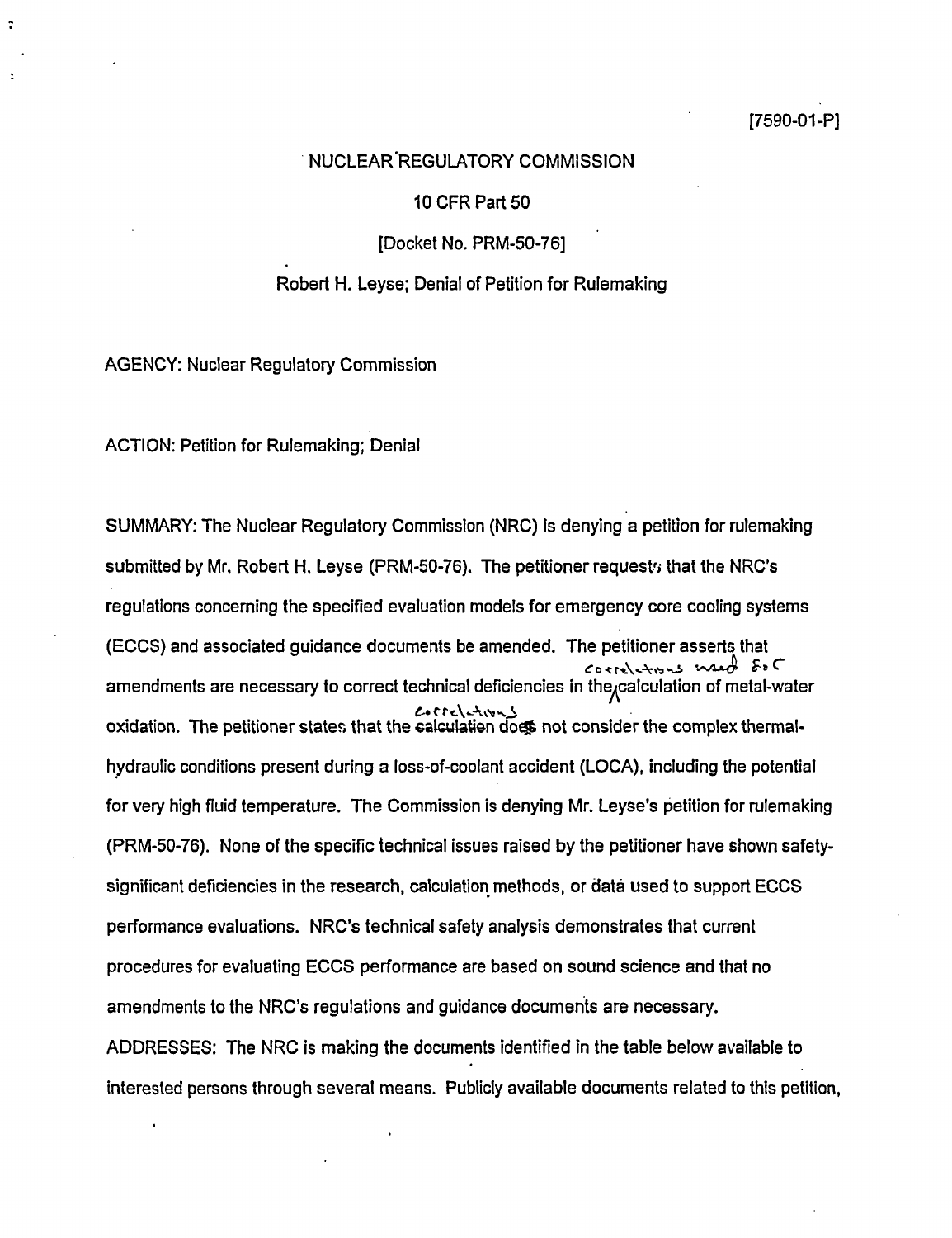#### NUCLEAR REGULATORY COMMISSION

#### 10 CFR Part 50

[Docket No. PRM-50-76]

#### Robert H. Leyse; Denial of Petition for Rulemaking

AGENCY: Nuclear Regulatory Commission

ACTION: Petition for Rulemaking; Denial

SUMMARY: The Nuclear Regulatory Commission (NRC) is denying a petition for rulemaking submitted by Mr. Robert H. Leyse (PRM-50-76). The petitioner request  $\mu$  that the NRC's regulations concerning the specified evaluation models for emergency core cooling systems (ECCS) and associated guidance documents be amended. The petitioner asserts that amendments are necessary to correct technical deficiencies in the<sub>x</sub>calculation of metal-water oxidation. The petitioner states that the calculation doos not consider the complex thermalhydraulic conditions present during a loss-of-coolant accident (LOCA), including the potential for very high fluid temperature. The Commission is denying Mr. Leyse's petition for rulemaking (PRM-50-76). None of the specific technical issues raised by the petitioner have shown safetysignificant deficiencies in the research, calculation methods, or data used to support ECCS performance evaluations. NRC's technical safety analysis demonstrates that current procedures for evaluating ECCS performance are based on sound science and that no amendments to the NRC's regulations and guidance documents are necessary. ADDRESSES: The NRC is making the documents identified in the table below available to interested persons through several means. Publicly available documents related to this petition,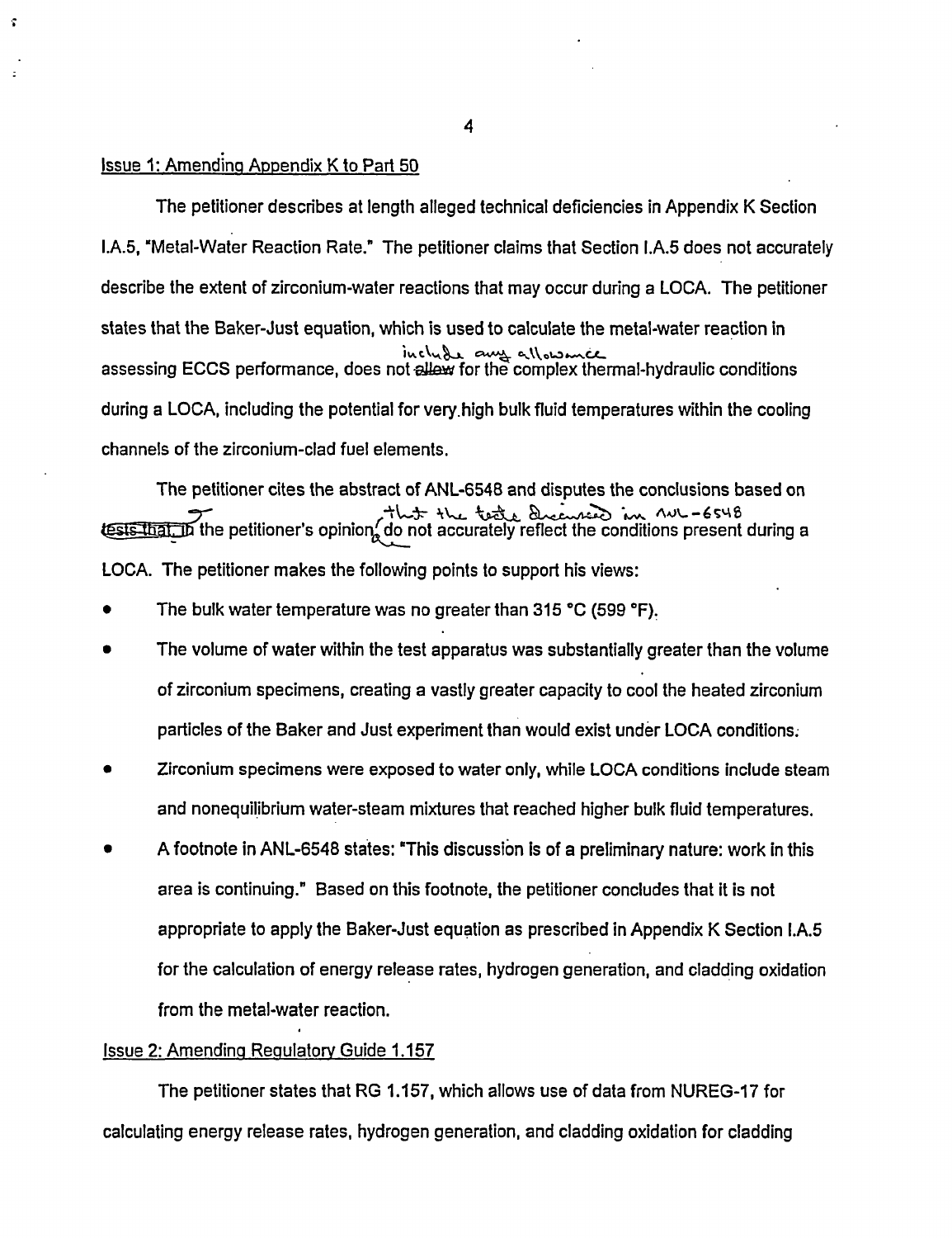#### Issue 1: Amendinq Appendix K to Part 50

The petitioner describes at length alleged technical deficiencies in Appendix K Section L.A.5, "Metal-Water Reaction Rate." The petitioner claims that Section I.A.5 does not accurately describe the extent of zirconium-water reactions that may occur during a LOCA. The petitioner states that the Baker-Just equation, which is used to calculate the metal-water reaction in includ میں مسیم د*ال مصبوط الحادة*<br>assessing ECCS performance, does not <del>allew</del> for the complex thermal-hydraulic conditions during a LOCA, including the potential for very.high bulk fluid temperatures within the cooling channels of the zirconium-clad fuel elements.

The petitioner cites the abstract of ANL-6548 and disputes the conclusions based on esterthat the petitioner's opinion do not accurately reflect the conditions present during a LOCA. The petitioner makes the following points to support his views:

- The bulk water temperature was no greater than 315 °C (599 °F).
- The volume of water within the test apparatus was substantially greater than the volume of zirconium specimens, creating a vastly greater capacity to cool the heated zirconium particles of the Baker and Just experiment than would exist under LOCA conditions.
- Zirconium specimens were exposed to water only, while LOCA conditions include steam and nonequilibrium water-steam mixtures that reached higher bulk fluid temperatures.
- \* A footnote in ANL-6548 states: This discussion is of a preliminary nature: work in this area is continuing." Based on this footnote, the petitioner concludes that it is not appropriate to apply the Baker-Just equation as prescribed in Appendix K Section I.A.5 for the calculation of energy release rates, hydrogen generation, and cladding oxidation from the metal-water reaction.

#### Issue 2: Amendinq Reaulatorv Guide 1.157

The petitioner states that RG 1.157, which allows use of data from NUREG-17 for calculating energy release rates, hydrogen generation, and cladding oxidation for cladding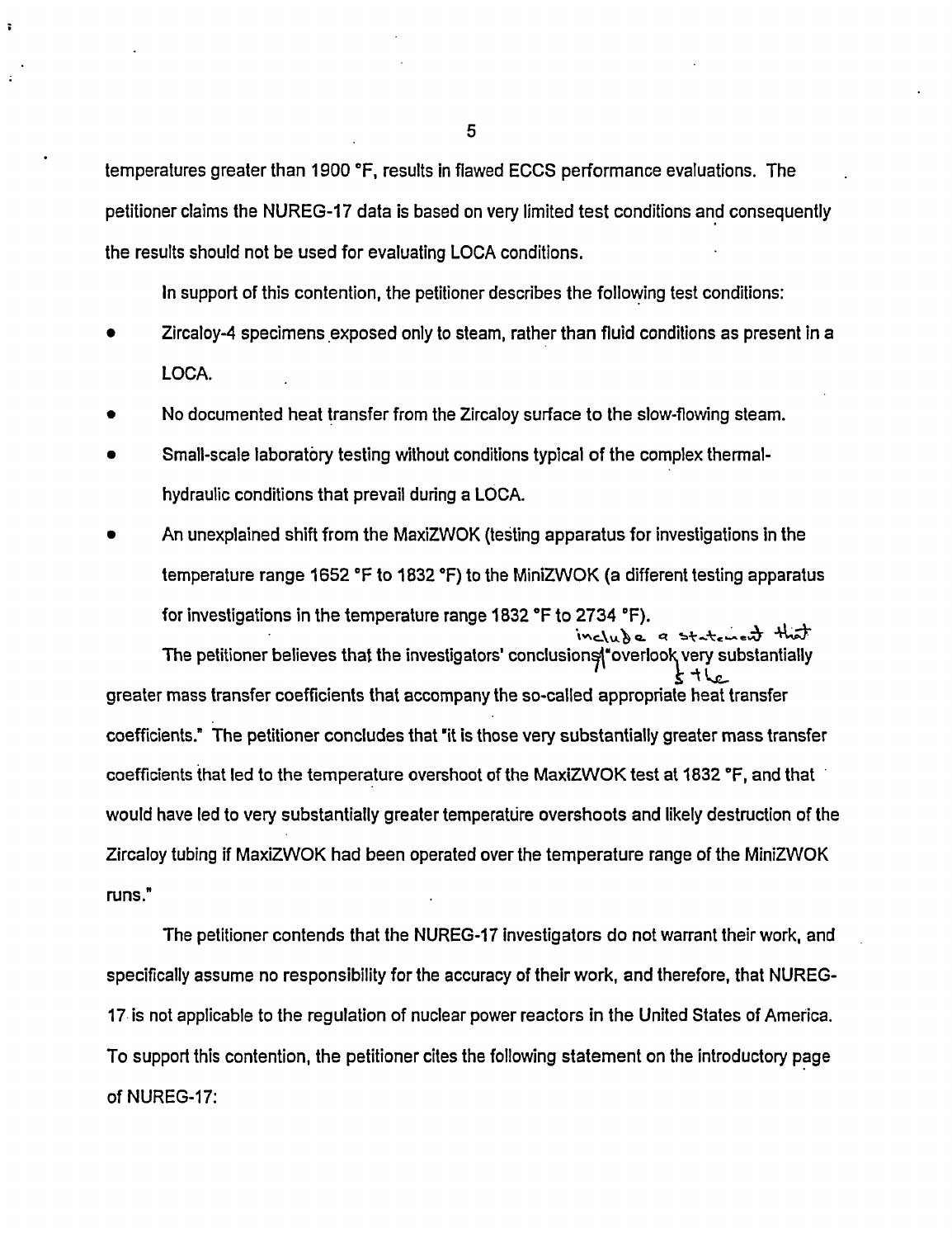temperatures greater than 1900 °F, results in flawed ECCS performance evaluations. The petitioner claims the NUREG-17 data is based on very limited test conditions and consequently the results should not be used for evaluating LOCA conditions.

In support of this contention, the petitioner describes the following test conditions:

- Zircaloy-4 specimens exposed only to steam, rather than fluid conditions as present in a LOCA.
- No documented heat transfer from the Zircaloy surface to the slow-flowing steam.
- Small-scale laboratory testing without conditions typical of the complex thermalhydraulic conditions that prevail during a LOCA.
- An unexplained shift from the MaxiZWOK (testing apparatus for investigations in the temperature range 1652 °F to 1832 °F) to the MiniZWOK (a different testing apparatus for investigations in the temperature range 1832 °F to 2734 °F).

 $inc(u)$  c a statement that The petitioner believes that the investigators' conclusions werlook very substantially greater mass transfer coefficients that accompany the so-called appropriate heat transfer coefficients." The petitioner concludes that 'it is those very substantially greater mass transfer coefficients that led to the temperature overshoot of the MaxiZWOK test at 1832 °F, and that would have led to very substantially greater temperature overshoots and likely destruction of the Zircaloy tubing if MaxiZWOK had been operated over the temperature range of the MiniZWOK runs."

The petitioner contends that the NUREG-17 investigators do not warrant their work, and specifically assume no responsibility for the accuracy of their work, and therefore, that NUREG-17 is not applicable to the regulation of nuclear power reactors in the United States of America. To support this contention, the petitioner cites the following statement on the introductory page of NUREG-17:

5

 $\ddot{\phantom{a}}$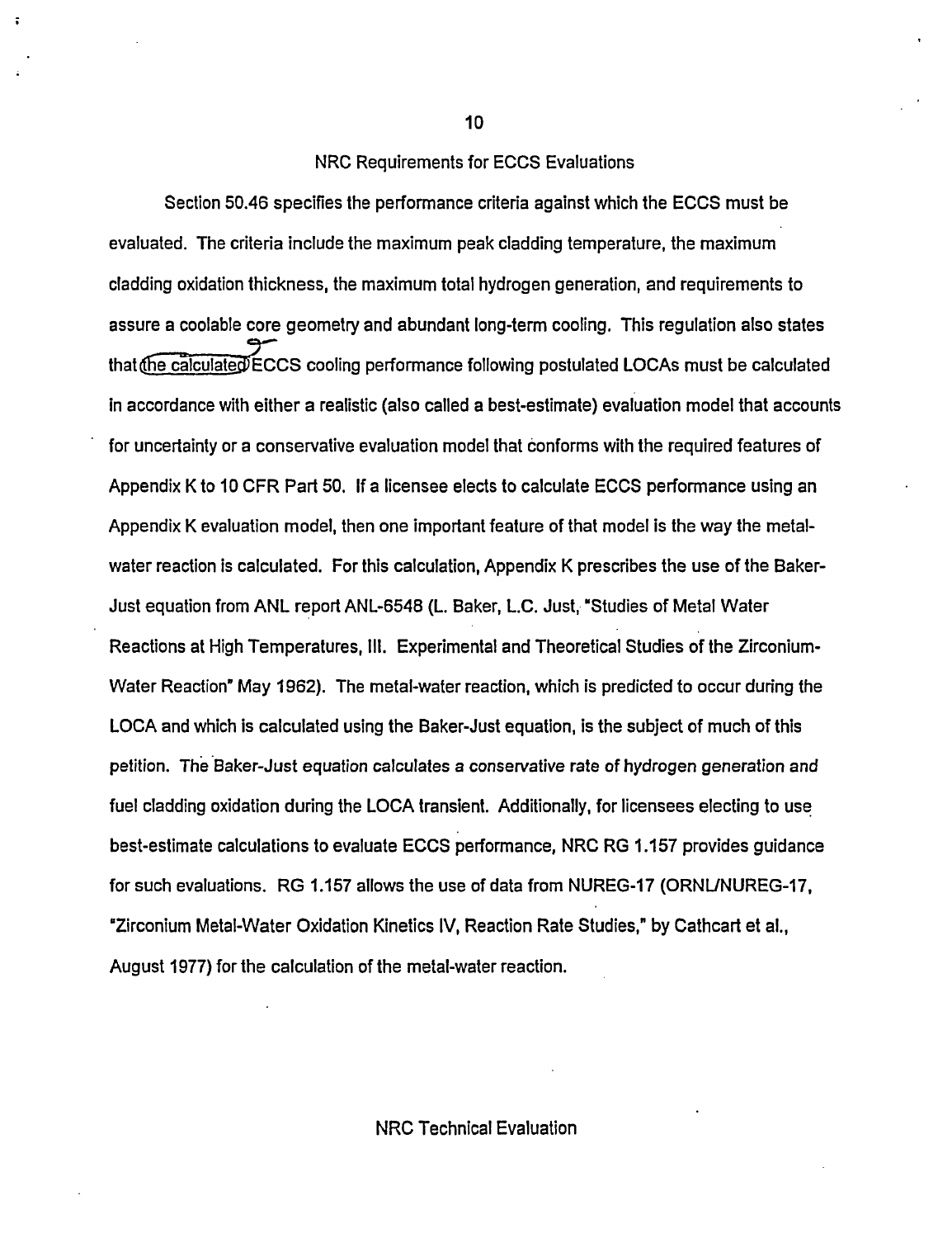#### NRC Requirements for ECCS Evaluations

Section 50.46 specifies the performance criteria against which the ECCS must be evaluated. The criteria include the maximum peak cladding temperature, the maximum cladding oxidation thickness, the maximum total hydrogen generation, and requirements to assure a coolable core geometry and abundant long-term cooling. This regulation also states that  $\sqrt{\frac{c_1}{c_2}}$  for  $\sqrt{\frac{c_1}{c_2}}$  cooling performance following postulated LOCAs must be calculated in accordance with either a realistic (also called a best-estimate) evaluation model that accounts for uncertainty or a conservative evaluation model that conforms with the required features of Appendix K to 10 CFR Part 50. If a licensee elects to calculate ECCS performance using an Appendix K evaluation model, then one important feature of that model is the way the metalwater reaction is calculated. For this calculation, Appendix K prescribes the use of the Baker-Just equation from ANL report ANL-6548 (L. Baker, L.C. Just, "Studies of Metal Water Reactions at High Temperatures, Ill. Experimental and Theoretical Studies of the Zirconium-Water Reaction" May 1962). The metal-water reaction, which is predicted to occur during the LOCA and which is calculated using the Baker-Just equation, is the subject of much of this petition. The Baker-Just equation calculates a conservative rate of hydrogen generation and fuel cladding oxidation during the LOCA transient. Additionally, for licensees electing to use best-estimate calculations to evaluate ECCS performance, NRC RG 1.157 provides guidance for such evaluations. RG 1.157 allows the use of data from NUREG-17 (ORNUNUREG-17, Zirconium Metal-Water Oxidation Kinetics IV, Reaction Rate Studies," by Cathcart et al., August 1977) for the calculation of the metal-water reaction.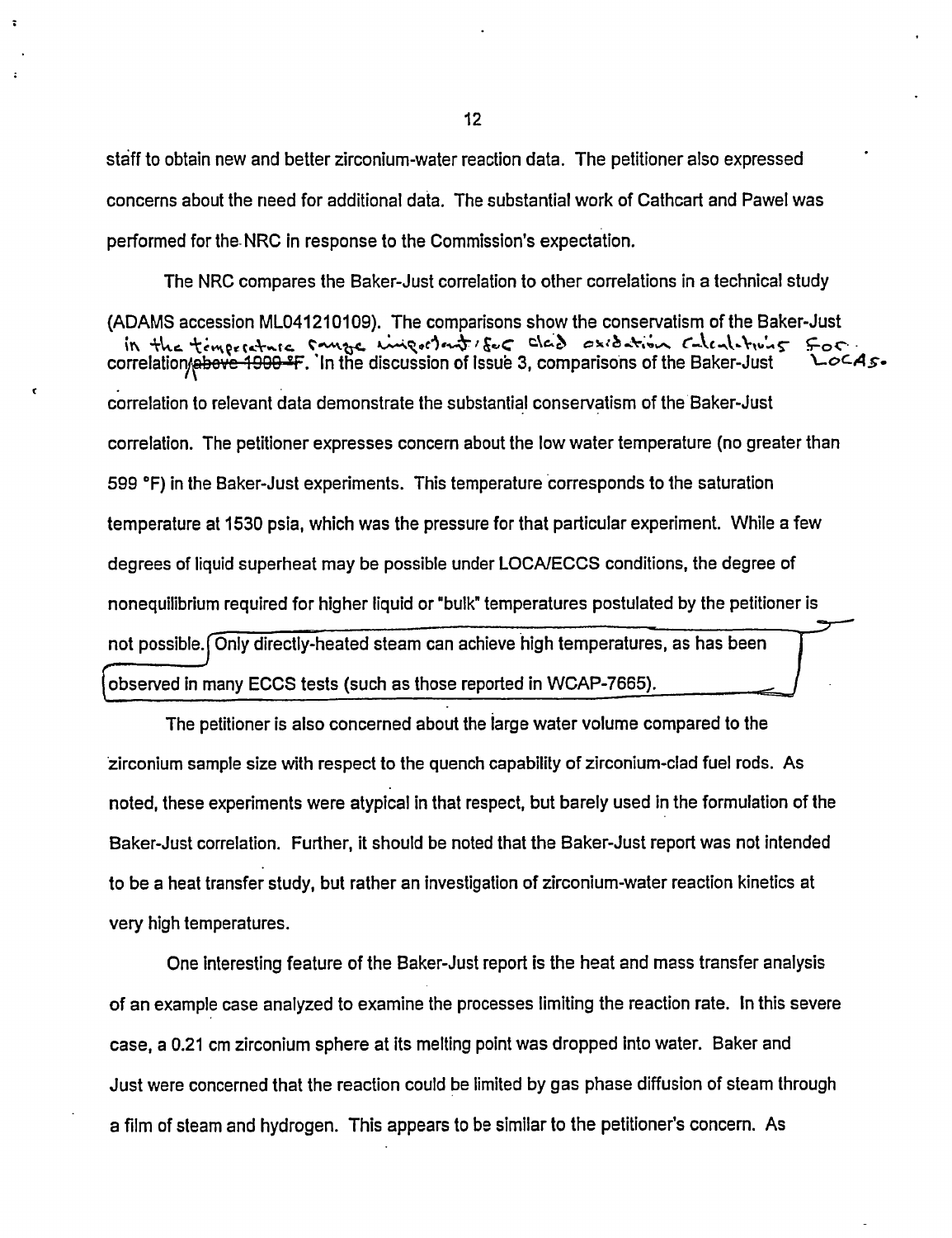staff to obtain new and better zirconium-water reaction data. The petitioner also expressed concerns about the need for additional data. The substantial work of Cathcart and Pawel was performed for the- NRC in response to the Commission's expectation.

The NRC compares the Baker-Just correlation to other correlations in a technical study (ADAMS accession ML041210109). The comparisons show the conservatism of the Baker-Just in the timperature sange important 150 class existing calculations for correlation to relevant data demonstrate the substantial conservatism of the Baker-Just correlation. The petitioner expresses concern about the low water temperature (no greater than 599 0F) in the Baker-Just experiments. This temperature corresponds to the saturation temperature at 1530 psia, which was the pressure for that particular experiment. While a few degrees of liquid superheat may be possible under LOCAIECCS conditions, the degree of nonequilibrium required for higher liquid or "bulk' temperatures postulated by the petitioner is not possible. Only directly-heated steam can achieve high temperatures, as has been observed in many ECCS tests (such as those reported in WCAP-7665).

The petitioner is also concerned about the large water volume compared to the zirconium sample size with respect to the quench capability of zirconium-clad fuel rods. As noted, these experiments were atypical in that respect, but barely used in the formulation of the Baker-Just correlation. Further, it should be noted that the Baker-Just report was not intended to be a heat transfer study, but rather an investigation of zirconium-water reaction kinetics at very high temperatures.

One interesting feature of the Baker-Just report is the heat and mass transfer analysis of an example case analyzed to examine the processes limiting the reaction rate. In this severe case, a 0.21 cm zirconium sphere at its melting point was dropped into water. Baker and Just were concerned that the reaction could be limited by gas phase diffusion of steam through a film of steam and hydrogen. This appears to be similar to the petitioner's concem. As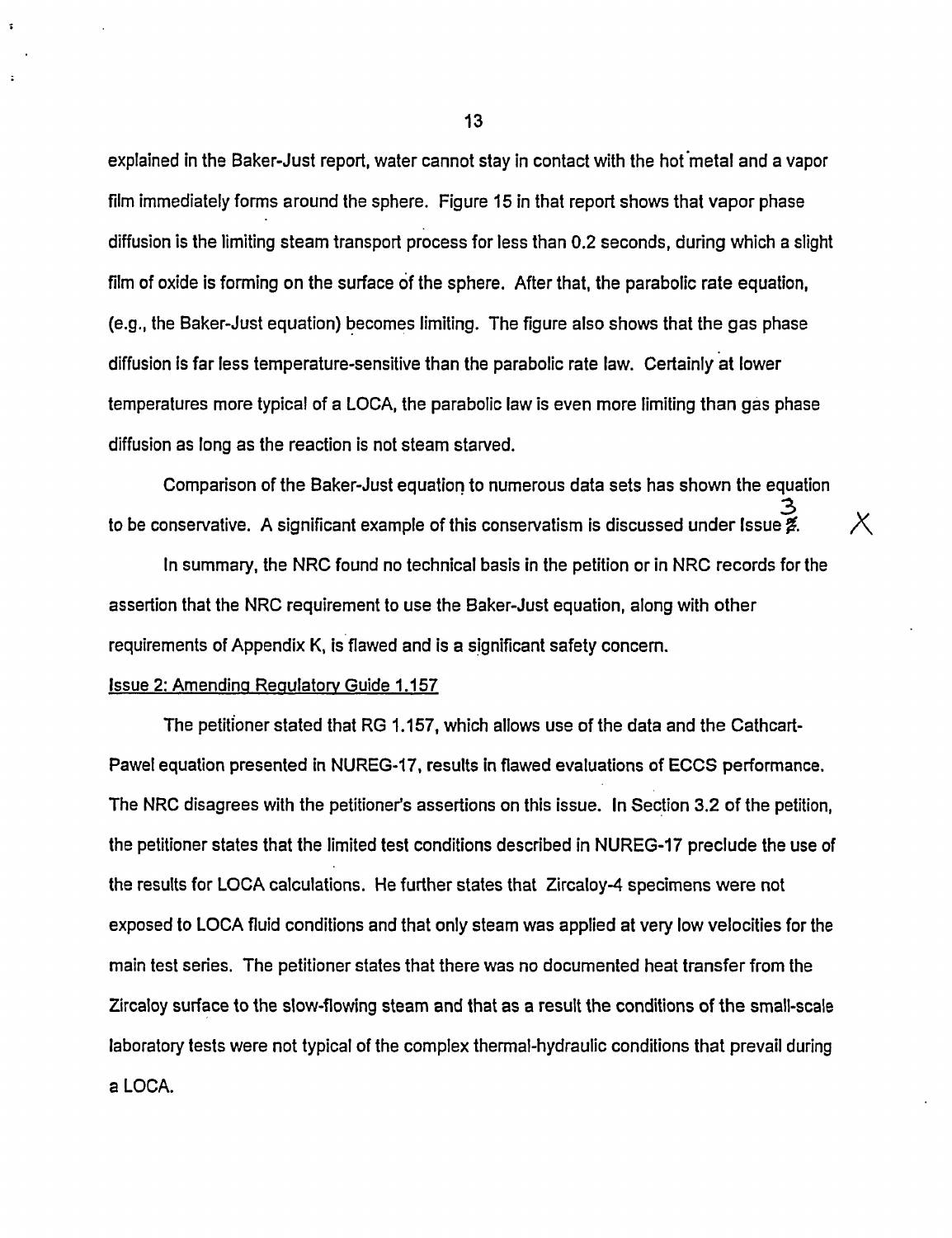explained in the Baker-Just report, water cannot stay in contact with the hot metal and a vapor film immediately forms around the sphere. Figure 15 in that report shows that vapor phase diffusion is the limiting steam transport process for less than 0.2 seconds, during which a slight film of oxide is forming on the surface of the sphere. After that, the parabolic rate equation, (e.g., the Baker-Just equation) becomes limiting. The figure also shows that the gas phase diffusion is far less temperature-sensitive than the parabolic rate law. Certainly at lower temperatures more typical of a LOCA, the parabolic law is even more limiting than gas phase diffusion as long as the reaction is not steam starved.

Comparison of the Baker-Just equation to numerous data sets has shown the equation to be conservative. A significant example of this conservatism is discussed under Issue  $\tilde{z}$ .

 $\chi$ 

In summary, the NRC found no technical basis in the petition or in NRC records for the assertion that the NRC requirement to use the Baker-Just equation, along with other requirements of Appendix K, is flawed and is a significant safety concern.

#### Issue 2: Amending Regulatory Guide 1.157

 $\mathbf{z}$ 

 $\ddot{ }$ 

The petitioner stated that RG 1.157, which allows use of the data and the Cathcart-Pawel equation presented in NUREG-17, results in flawed evaluations of ECCS performance. The NRC disagrees with the petitioner's assertions on this issue. In Section 3.2 of the petition, the petitioner states that the limited test conditions described in NUREG-17 preclude the use of the results for LOCA calculations. He further states that Zircaloy-4 specimens were not exposed to LOCA fluid conditions and that only steam was applied at very low velocities for the main test series. The petitioner states that there was no documented heat transfer from the Zircaloy surface to the slow-flowing steam and that as a result the conditions of the small-scale laboratory tests were not typical of the complex thermal-hydraulic conditions that prevail during a LOCA.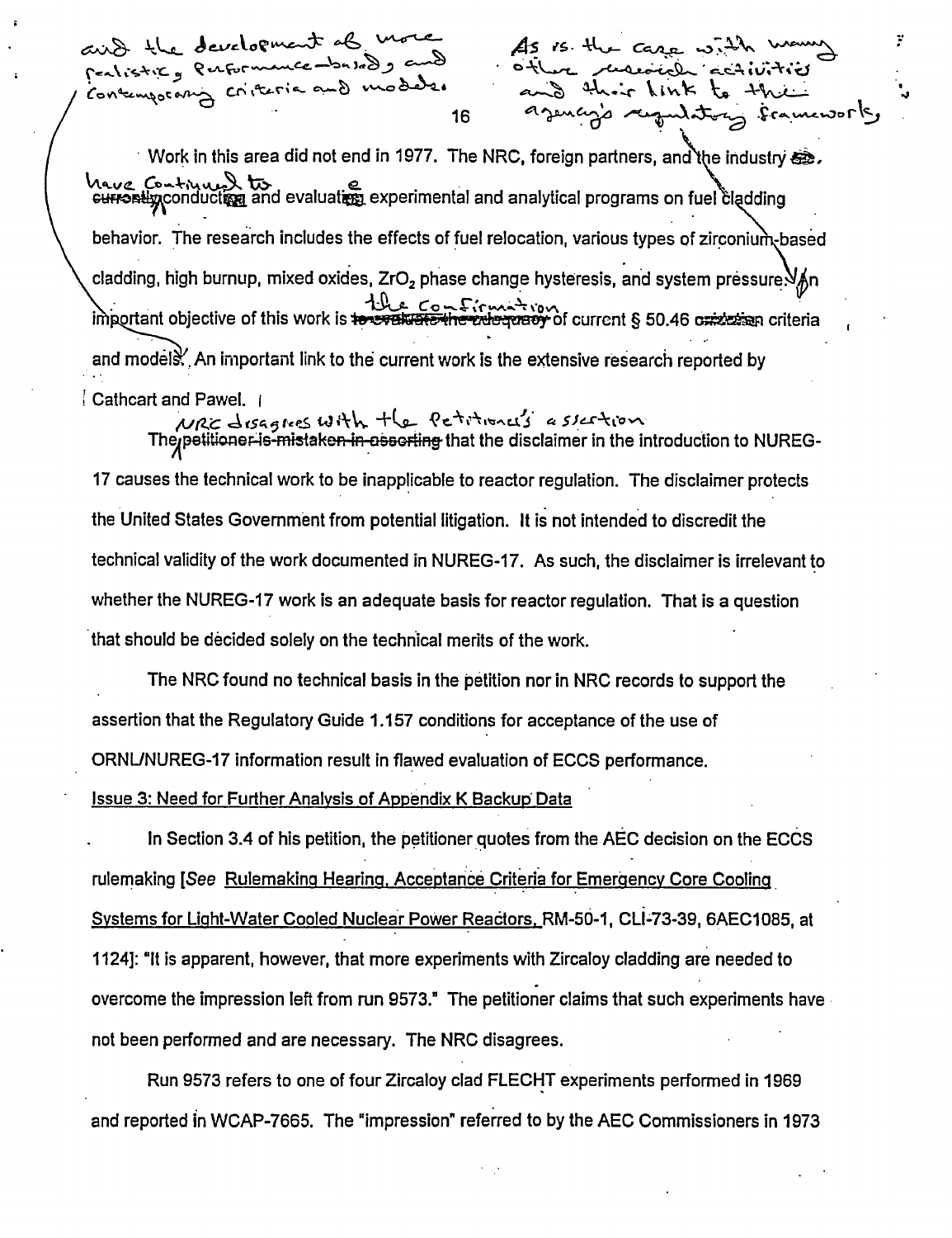aird the development of more As is the care criteria and moders. Concemporar

Work in this area did not end in 1977. The NRC, foreign partners, and the industry  $\ddot{\mathbf{e}}$ . **'A'io** a **'tx>** e. *.N* GwnWIAconductqE and evaluatiS experimental and analytical programs on fuel I dding behavior. The research includes the effects of fuel relocation, various types of zirconium-based cladding, high burnup, mixed oxides, ZrO<sub>2</sub> phase change hysteresis, and system pressure. ortant objective of this work is the confirmal inportant § 50.46 criteria and models. An important link to the current work is the extensive research reported by

16 enfinition de la france

Cathcart and Pawel. 1<br>MRC disagres with the Petitional's a sicition The petitioner is mistaken in assorting that the disclaimer in the introduction to NUREG-17 causes the technical work to be inapplicable to reactor regulation. The disclaimer protects the United States Government from potential litigation. It is not intended to discredit the technical validity of the work documented in NUREG-17. As such, the disclaimer is irrelevant to whether the NUREG-17 work is an adequate basis for reactor regulation. That is a question that should be decided solely on the technical merits of the work.

The NRC found no technical basis in the petition nor in NRC records to support the assertion that the Regulatory Guide 1.157 conditions for acceptance of the use of ORNUNUREG-17 information result in flawed evaluation of ECCS performance.

Issue 3: Need for Further Analysis of Appendix K Backug Data

In Section 3.4 of his petition, the petitioner quotes from the AEC decision on the ECCS rulemaking [See Rulemaking Hearing. Acceptance Criteria for Emergency Core Cooling Systems for Light-Water Cooled Nuclear Power Reactors. RM-50-1, CLI-73-39, 6AEC1085, at 1124]: "It is apparent, however, that more experiments with Zircaloy cladding are needed to overcome the impression left from run 9573." The petitioner claims that such experiments have not been performed and are necessary. The NRC disagrees.

Run 9573 refers to one of four Zircaloy clad FLECHT experiments performed in 1969 and reported in WCAP-7665. The "impression' referred to by the AEC Commissioners in 1973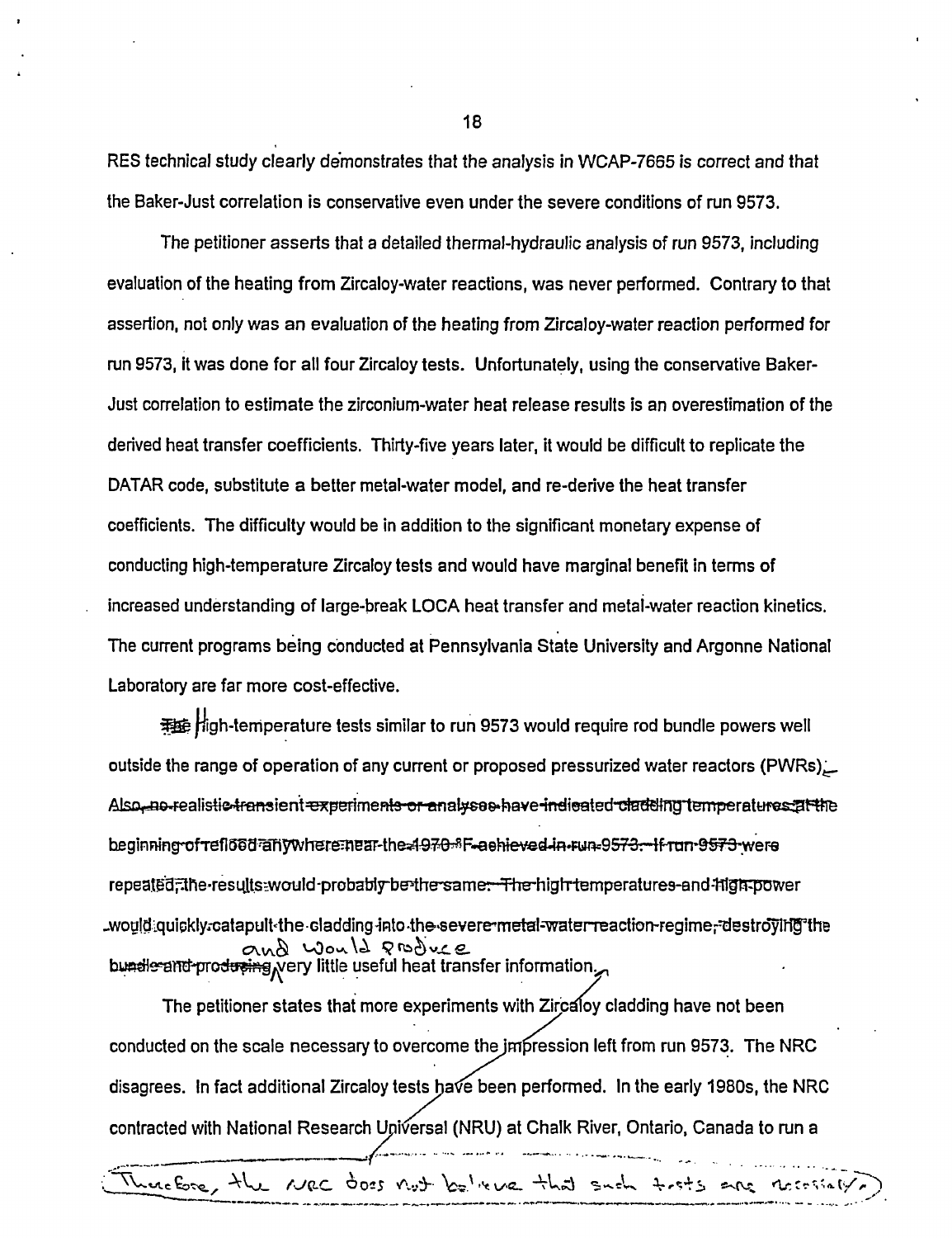RES technical study clearly demonstrates that the analysis in WCAP-7665 is correct and that the Baker-Just correlation is conservative even under the severe conditions of run 9573.

The petitioner asserts that a detailed thermal-hydraulic analysis of run 9573, including evaluation of the heating from Zircaloy-water reactions, was never performed. Contrary to that assertion, not only was an evaluation of the heating from Zircaloy-water reaction performed for run 9573, it was done for all four Zircaloy tests. Unfortunately, using the conservative Baker-Just correlation to estimate the zirconium-water heat release results is an overestimation of the derived heat transfer coefficients. Thirty-five years later, it would be difficult to replicate the DATAR code, substitute a better metal-water model, and re-derive the heat transfer coefficients. The difficulty would be in addition to the significant monetary expense of conducting high-temperature Zircaloy tests and would have marginal benefit in terms of increased understanding of large-break LOCA heat transfer and metal-water reaction kinetics. The current programs being conducted at Pennsylvania State University and Argonne National Laboratory are far more cost-effective.

W Pigh-temperature tests similar to run 9573 would require rod bundle powers well outside the range of operation of any current or proposed pressurized water reactors (PWRs). Also-no-realistic-transient experiments-or-analysee have-indicated-cladding temperatures at the beginning of reflööd anywhere mear-the 4970-8F-eehieved-in-run-9573--if run-9573-were repeated, the-results-would-probably-be-the-same. The-high-temperatures-and-high-power -would:quickly.catapult-the cladding into the severe metal-water-reaction-regime,-destroyling the and would graduce

The petitioner states that more experiments with Zircaloy cladding have not been conducted on the scale necessary to overcome the jmpression left from run 9573. The NRC disagrees. In fact additional Zircaloy tests have been performed. In the early 1980s, the NRC contracted with National Research Universal (NRU) at Chalk River, Ontario, Canada to run a .,

Therefore, the NRC does not being we that such tests are recessaly.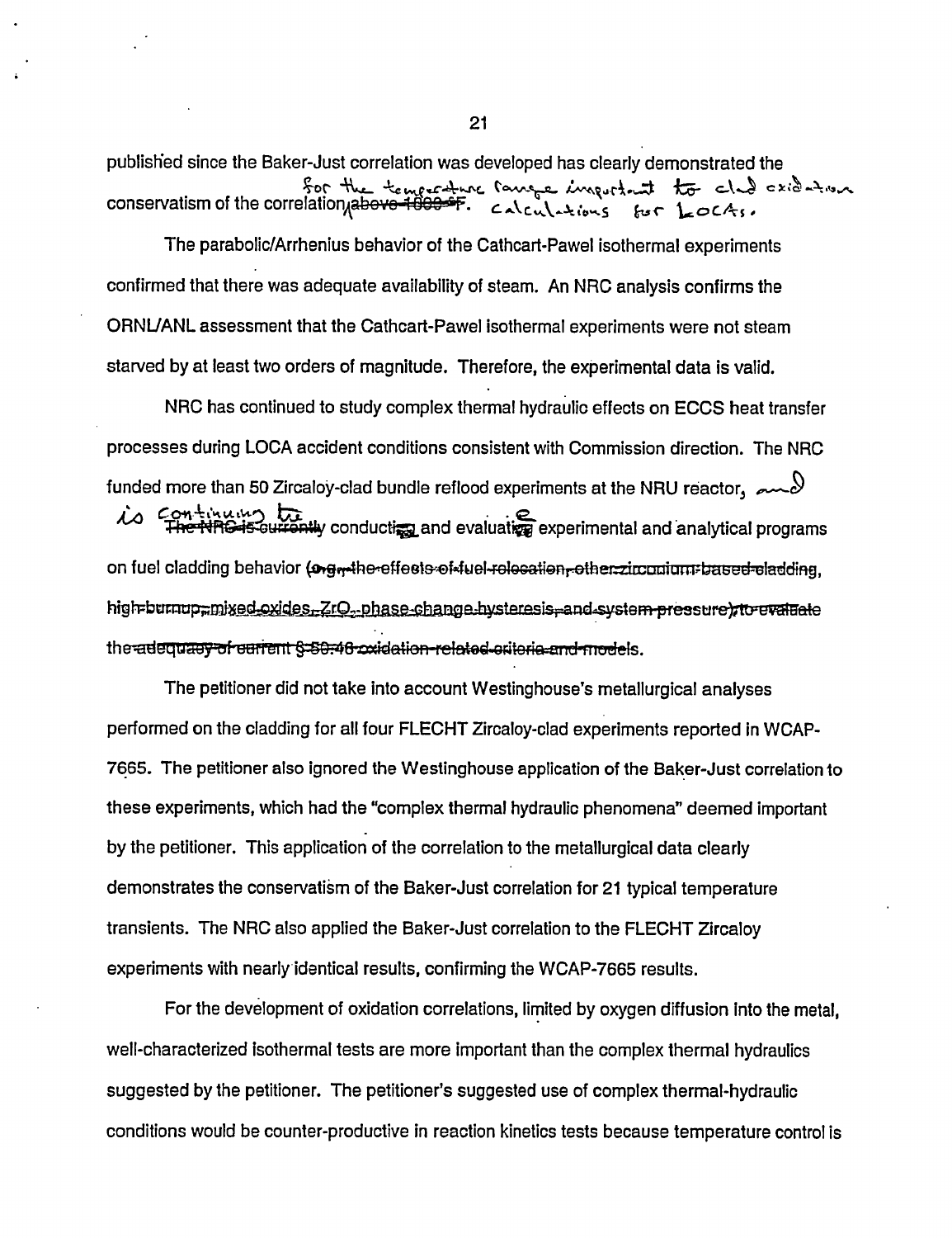published since the Baker-Just correlation was developed has clearly demonstrated the Sor the temperature range important to cle cride to

The parabolic/Arrhenius behavior of the Cathcart-Pawel isothermal experiments confirmed that there was adequate availability of steam. An NRC analysis confirms the ORNUANL assessment that the Cathcart-Pawel isothermal experiments were not steam starved by at least two orders of magnitude. Therefore, the experimental data is valid.

NRC has continued to study complex thermal hydraulic effects on ECCS heat transfer processes during LOCA accident conditions consistent with Commission direction. The NRC funded more than 50 Zircaloy-clad bundle reflood experiments at the NRU reactor,  $\sim$ is continuing the discussion of the state of the third of the third experimental and analytical programs on fuel cladding behavior (ongrethe-effects-of-fuel-relecation-other-zirconium=based-cladding, high-burnup-mixed-oxides. ZrO<sub>2</sub>-phase-change-hysteresis-and-system-pressure to evaluate the adequacy of current \$-50.46 cxidation-related-criteria-and models.

The petitioner did not take into account Westinghouse's metallurgical analyses performed on the cladding for all four FLECHT Zircaloy-clad experiments reported in WCAP-7665. The petitioner also ignored the Westinghouse application of the Baker-Just correlation to these experiments, which had the "complex thermal hydraulic phenomena" deemed important by the petitioner. This application of the correlation to the metallurgical data clearly demonstrates the conservatism of the Baker-Just correlation for 21 typical temperature transients. The NRC also applied the Baker-Just correlation to the FLECHT Zircaloy experiments with nearly identical results, confirming the WCAP-7665 results.

For the development of oxidation correlations, limited by oxygen diffusion Into the metal, well-characterized isothermal tests are more important than the complex thermal hydraulics suggested by the petitioner. The petitioner's suggested use of complex thermal-hydraulic conditions would be counter-productive in reaction kinetics tests because temperature control is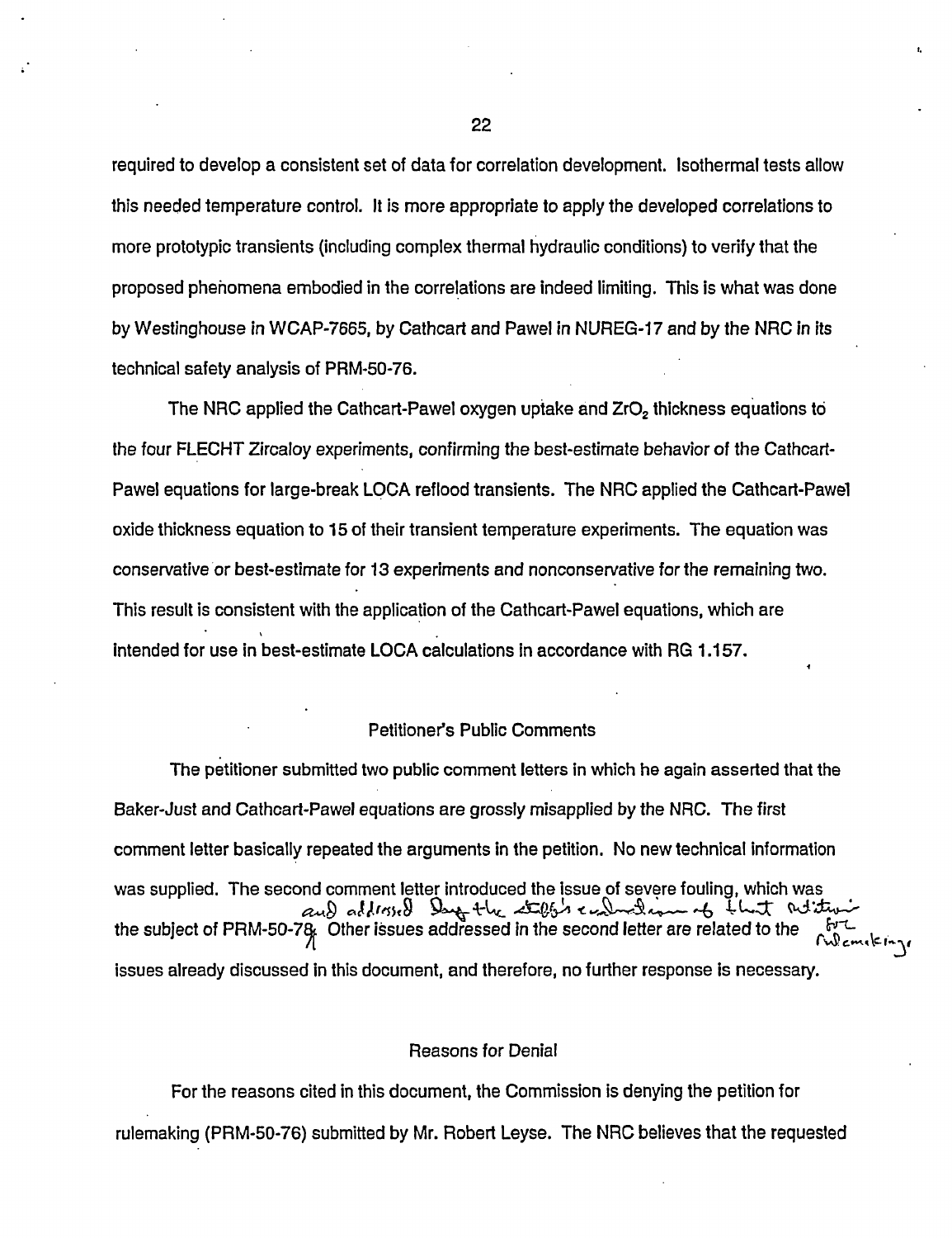required to develop a consistent set of data for correlation development. Isothermal tests allow this needed temperature control. It is more appropriate to apply the developed correlations to more prototypic transients (including complex thermal hydraulic conditions) to verify that the proposed phenomena embodied in the correlations are indeed limiting. This is what was done by Westinghouse in WCAP-7665, by Cathcart and Pawel in NUREG-17 and by the NRC in its technical safety analysis of PRM-50-76.

The NRC applied the Cathcart-Pawel oxygen uptake and  $ZrO<sub>2</sub>$  thickness equations to the four FLECHT Zircaloy experiments, confirming the best-estimate behavior of the Cathcart-Pawel equations for large-break LOCA reflood transients. The NRC applied the Cathcart-Pawel oxide thickness equation to 15 of their transient temperature experiments. The equation was conservative or best-estimate for 13 experiments and nonconservative for the remaining two. This result is consistent with the application of the Cathcart-Pawel equations, which are intended for use in best-estimate LOCA calculations in accordance with RG 1.157.

#### Petitioner's Public Comments

The petitioner submitted two public comment letters in which he again asserted that the Baker-Just and Cathcart-Pawel equations are grossly misapplied by the NRC. The first comment letter basically repeated the arguments in the petition. No new technical information was supplied. The second comment letter introduced the Issue of severe fouling, which was  $\Omega$  alleged Day the steps evaluation of that relies the subject of PRM-50-7 $\alpha$ . Other issues addressed in the second letter are related to the issues already discussed in this document, and therefore, no further response is necessary.

#### Reasons for Denial

For the reasons cited in this document, the Commission is denying the petition for rulemaking (PRM-50-76) submitted by Mr. Robert Leyse. The NRC believes that the requested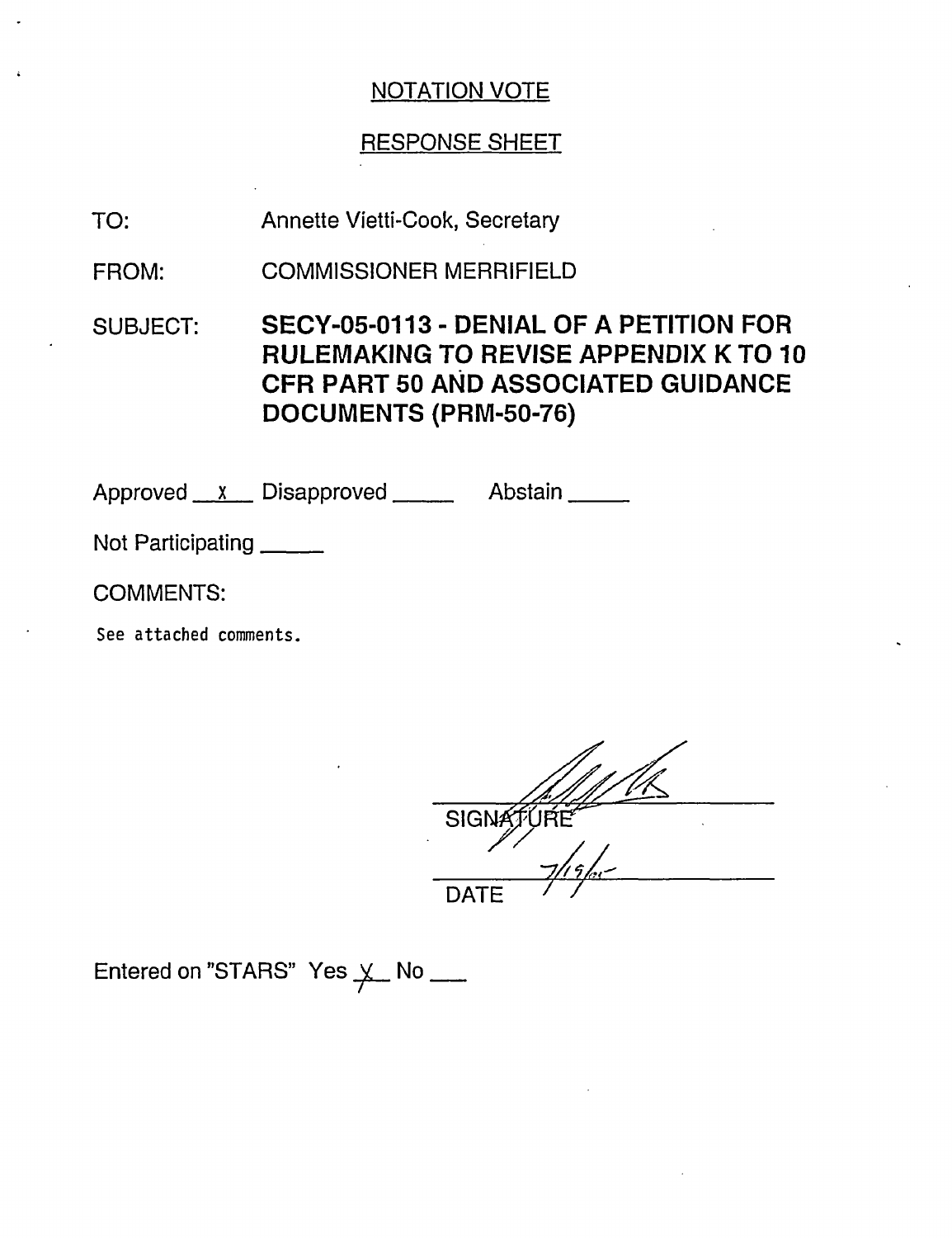## RESPONSE SHEET

- Annette Vietti-Cook, Secretary TO:
- COMMISSIONER MERRIFIELD FROM:
- SUBJECT: SECY-05-0113 DENIAL OF A PETITION FOR RULEMAKING TO REVISE APPENDIX K TO 10 CFR PART 50 AND ASSOCIATED GUIDANCE DOCUMENTS (PRM-50-76)

Approved x Disapproved Abstain

Not Participating

COMMENTS:

See attached comments.

SIGNATURE DATE /

Entered on "STARS" Yes  $\times$  No \_\_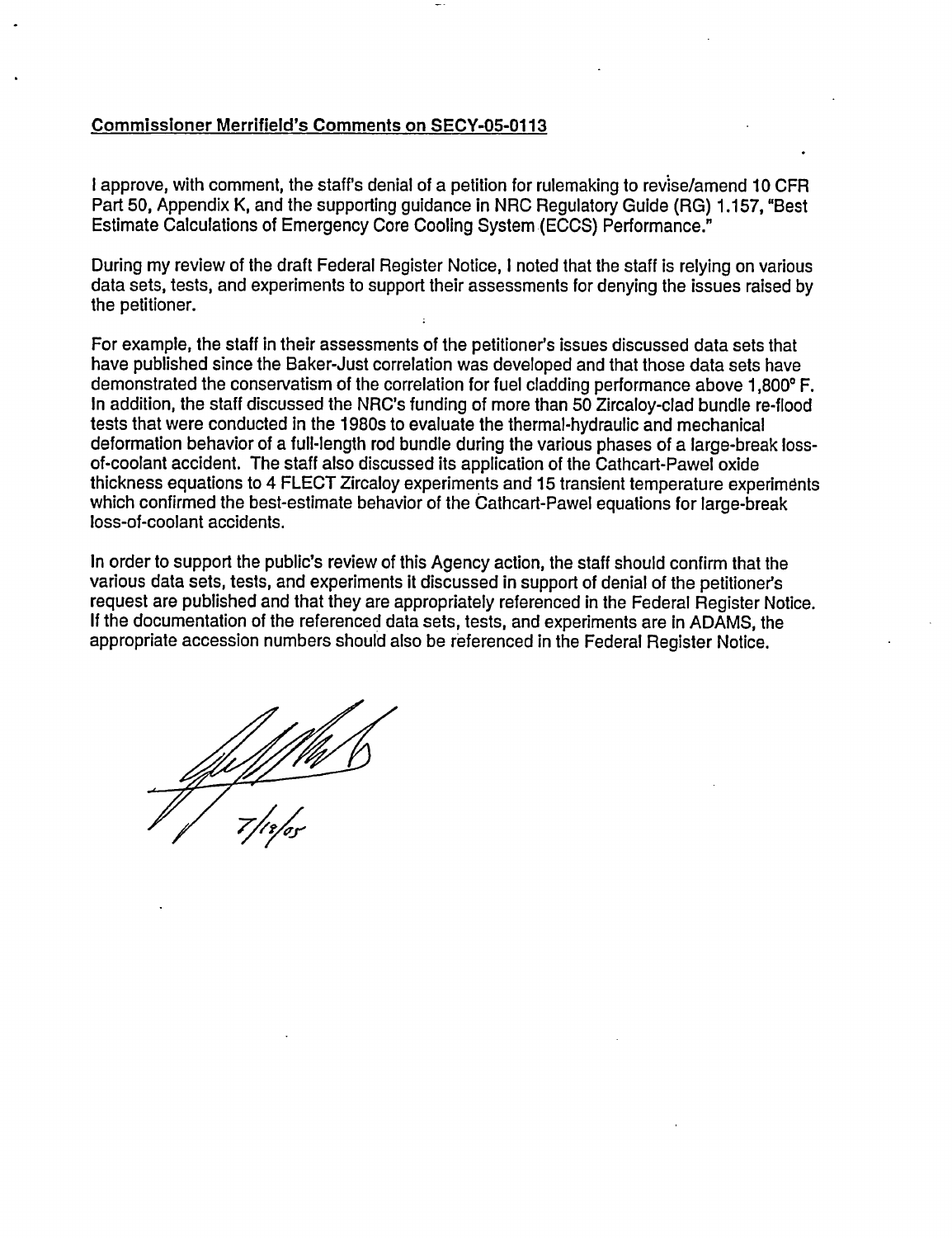#### Commissioner Merrifield's Comments on **SECY-05-0113**

I approve, with comment, the staff's denial of a petition for rulemaking to revise/amend 10 CFR Part 50, Appendix K, and the supporting guidance in NRC Regulatory Guide (RG) 1.157, "Best Estimate Calculations of Emergency Core Cooling System (ECCS) Performance."

During my review of the draft Federal Register Notice, I noted that the staff is relying on various data sets, tests, and experiments to support their assessments for denying the issues raised by the petitioner.

For example, the staff in their assessments of the petitioner's issues discussed data sets that have published since the Baker-Just correlation was developed and that those data sets have demonstrated the conservatism of the correlation for fuel cladding performance above 1,800°F. In addition, the staff discussed the NRC's funding of more than 50 Zircaloy-clad bundle re-flood tests that were conducted in the 1980s to evaluate the thermal-hydraulic and mechanical deformation behavior of a full-length rod bundle during the various phases of a large-break lossof-coolant accident. The staff also discussed its application of the Cathcart-Pawel oxide thickness equations to 4 FLECT Zircaloy experiments and 15 transient temperature experiments which confirmed the best-estimate behavior of the Cathcart-Pawel equations for large-break loss-of-coolant accidents.

In order to support the public's review of this Agency action, the staff should confirm that the various data sets, tests, and experiments it discussed in support of denial of the petitioner's request are published and that they are appropriately referenced in the Federal Register Notice. If the documentation of the referenced data sets, tests, and experiments are in ADAMS, the appropriate accession numbers should also be referenced in the Federal Register Notice.

*7/111'Ur*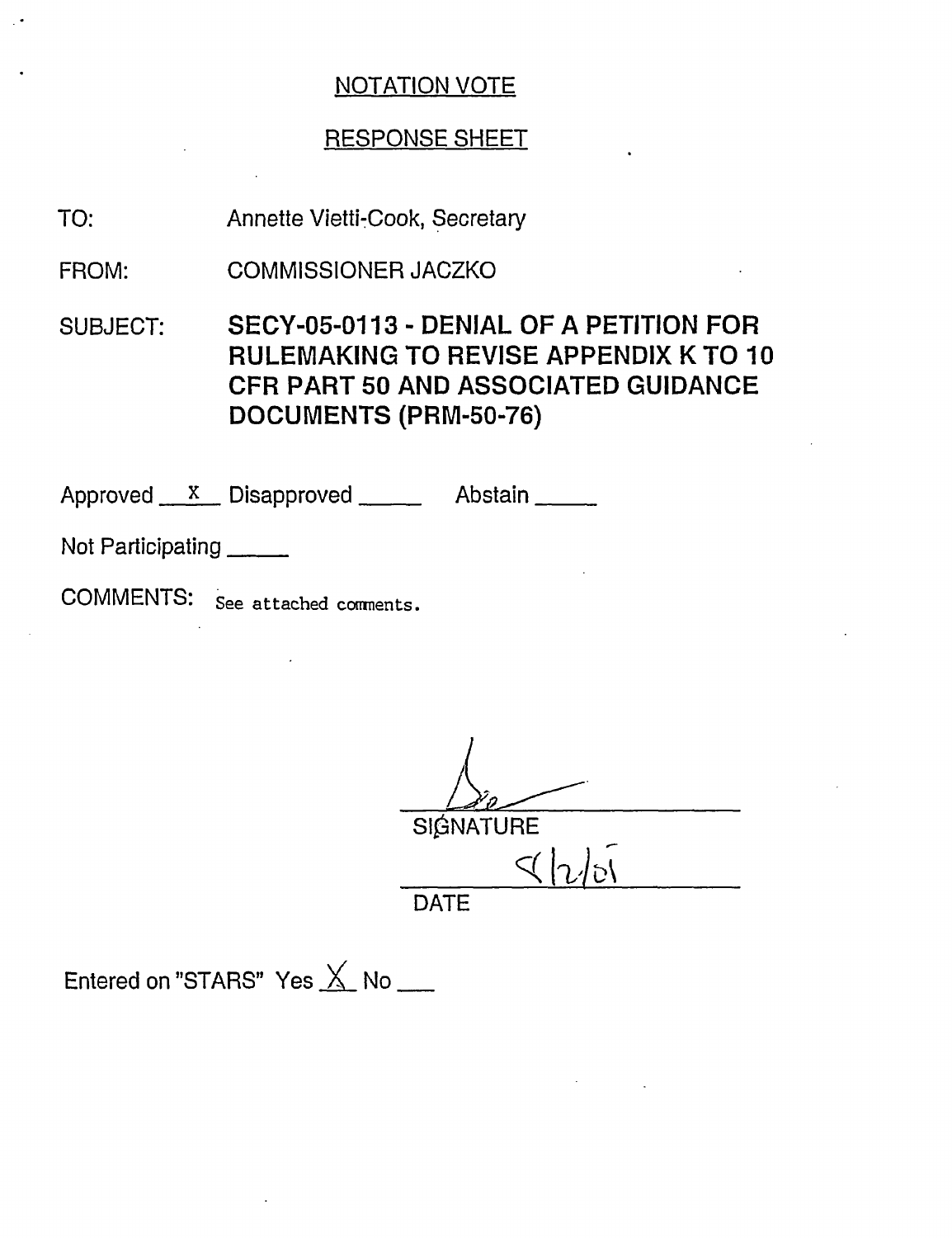## RESPONSE SHEET

Annette Vietti-Cook, Secretary TO:

COMMISSIONER JACZKO FROM:

SUBJECT: SECY-05-0113 - DENIAL OF A PETITION FOR RULEMAKING TO REVISE APPENDIX K TO 10 **CFR** PART 50 AND ASSOCIATED GUIDANCE DOCUMENTS (PRM-50-76)

Approved X Disapproved Abstain

Not Participating

COMMENTS: See attached comnents.

SIGNATURE  $\triangleleft$   $\vert$ DATE

Entered on "STARS" Yes  $\overline{\times}$  No \_\_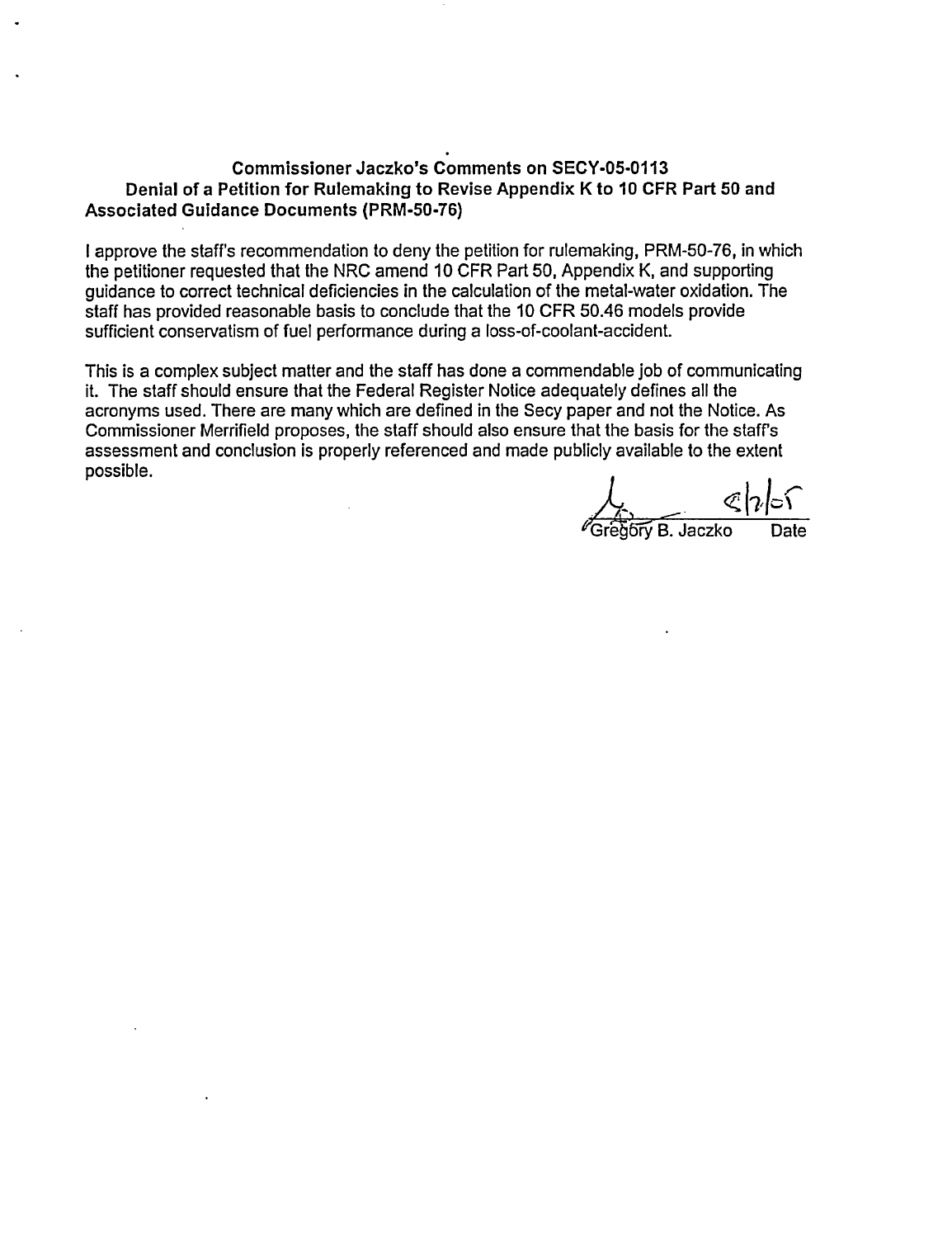## **Commissioner Jaczko's Comments on SECY-05-0113 Denial of a Petition for Rulemaking to Revise Appendix K to 10 CFR Part 50 and Associated Guidance Documents (PRM-50-76)**

I approve the staff's recommendation to deny the petition for rulemaking, PRM-50-76, in which the petitioner requested that the NRC amend 10 CFR Part 50, Appendix K, and supporting guidance to correct technical deficiencies in the calculation of the metal-water oxidation. The staff has provided reasonable basis to conclude that the 10 CFR 50.46 models provide sufficient conservatism of fuel performance during a loss-of-coolant-accident.

This is a complex subject matter and the staff has done a commendable job of communicating it. The staff should ensure that the Federal Register Notice adequately defines all the acronyms used. There are many which are defined in the Secy paper and not the Notice. As Commissioner Merrifield proposes, the staff should also ensure that the basis for the staff's assessment and conclusion is properly referenced and made publicly available to the extent possible.

 $\overline{\mathcal{C}}$ egóry B. Jaczko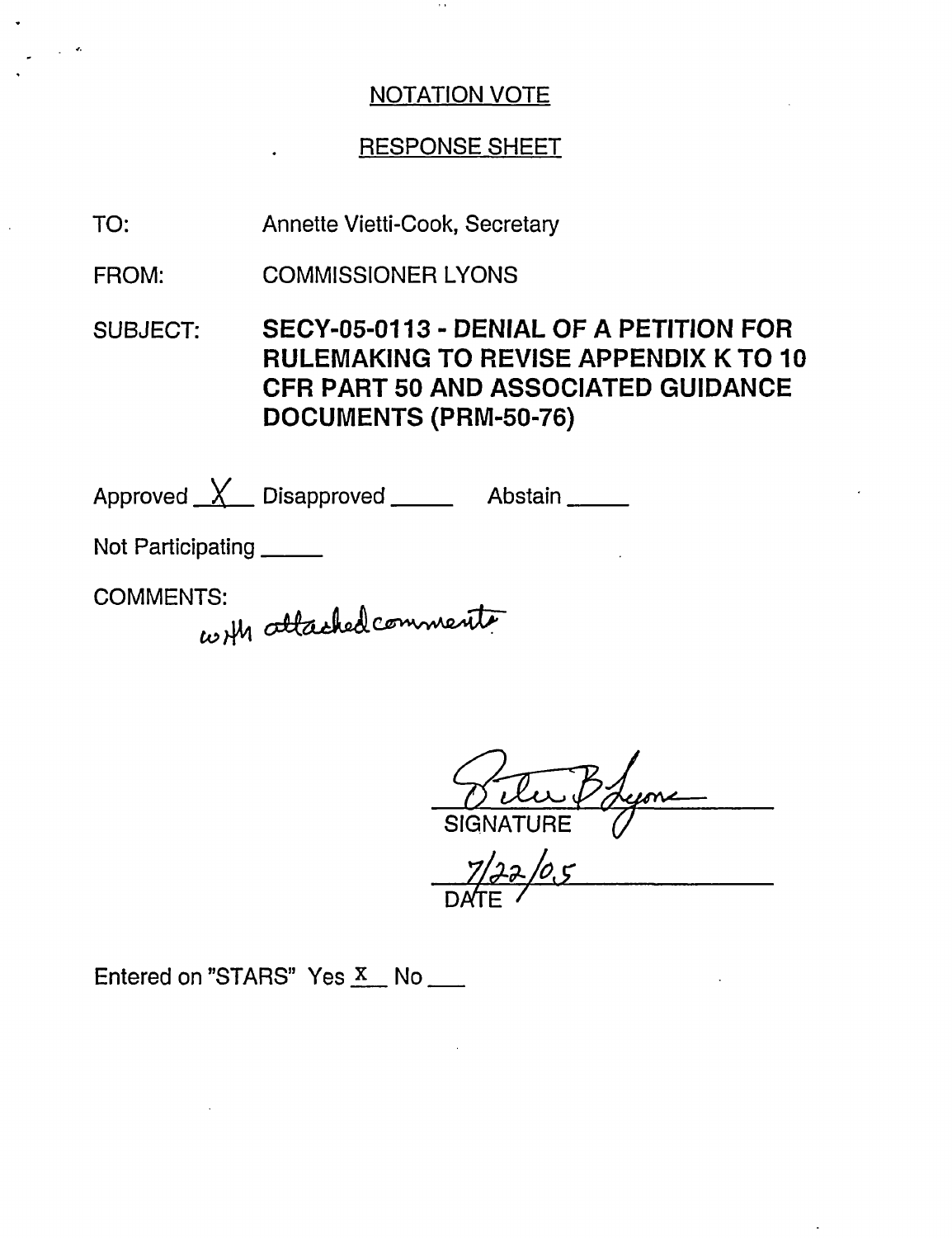## RESPONSE SHEET

Annette Vietti-Cook, Secretary TO:

COMMISSIONER LYONS FROM:

SUBJECT: SECY-05-0113 - DENIAL OF A PETITION FOR RULEMAKING TO REVISE APPENDIX K TO 10 CFR PART 50 AND ASSOCIATED GUIDANCE DOCUMENTS (PRM-50-76)

Approved <u>X</u> Disapproved \_\_\_\_\_\_ Abstain

Not Participating \_\_\_\_\_

COMMENTS:

 $\ddot{\phantom{0}}$ 

with attached comments

SIGNATURE

 $22/0.5$ **DATE** 

Entered on "STARS" Yes  $\overline{X}$  No \_\_\_